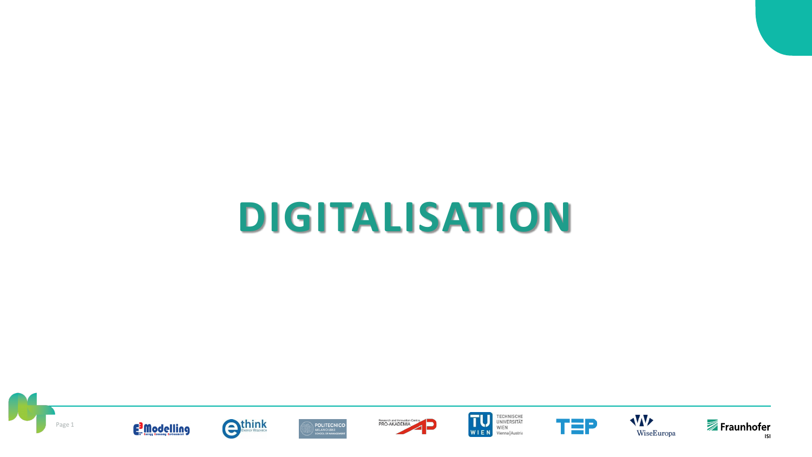# **DIGITALISATION**

















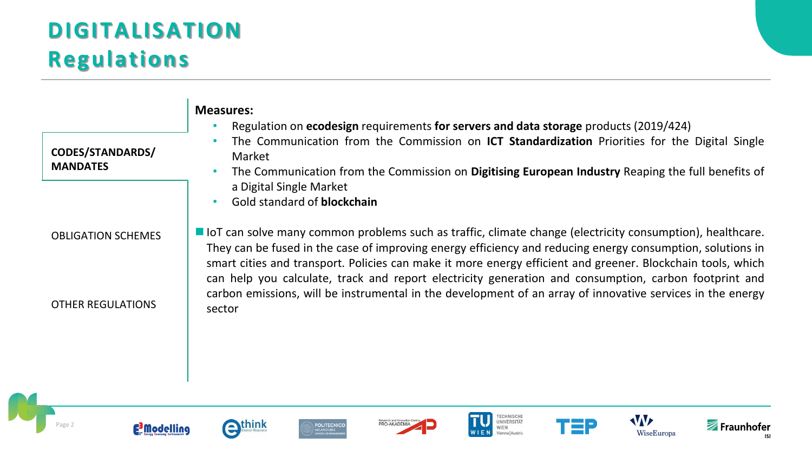### **DIGITALISATION Regulations**

|                                            | <b>Measures:</b><br>Regulation on ecodesign requirements for servers and data storage products (2019/424)                                                                                                                                                                                                                                                                                                                                                 |
|--------------------------------------------|-----------------------------------------------------------------------------------------------------------------------------------------------------------------------------------------------------------------------------------------------------------------------------------------------------------------------------------------------------------------------------------------------------------------------------------------------------------|
| <b>CODES/STANDARDS/</b><br><b>MANDATES</b> | The Communication from the Commission on ICT Standardization Priorities for the Digital Single<br>Market                                                                                                                                                                                                                                                                                                                                                  |
|                                            | The Communication from the Commission on Digitising European Industry Reaping the full benefits of<br>a Digital Single Market                                                                                                                                                                                                                                                                                                                             |
|                                            | Gold standard of <b>blockchain</b>                                                                                                                                                                                                                                                                                                                                                                                                                        |
| <b>OBLIGATION SCHEMES</b>                  | lacktrane lot can solve many common problems such as traffic, climate change (electricity consumption), healthcare.<br>They can be fused in the case of improving energy efficiency and reducing energy consumption, solutions in<br>smart cities and transport. Policies can make it more energy efficient and greener. Blockchain tools, which<br>can help you calculate, track and report electricity generation and consumption, carbon footprint and |
| <b>OTHER REGULATIONS</b>                   | carbon emissions, will be instrumental in the development of an array of innovative services in the energy<br>sector                                                                                                                                                                                                                                                                                                                                      |
|                                            |                                                                                                                                                                                                                                                                                                                                                                                                                                                           |
|                                            |                                                                                                                                                                                                                                                                                                                                                                                                                                                           |

















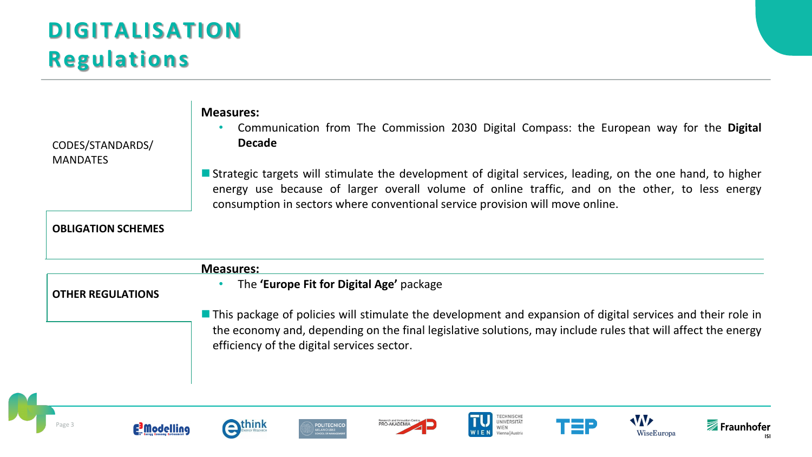#### **DIGITALISATION Regulations**

CODES/STANDARDS/ MANDATES

#### **Measures:**

- Communication from The Commission 2030 Digital Compass: the European way for the **Digital Decade**
- Strategic targets will stimulate the development of digital services, leading, on the one hand, to higher energy use because of larger overall volume of online traffic, and on the other, to less energy consumption in sectors where conventional service provision will move online.

#### **OBLIGATION SCHEMES**

|                          | <b>Measures:</b>                                                                                                                                                                                                                                                                 |
|--------------------------|----------------------------------------------------------------------------------------------------------------------------------------------------------------------------------------------------------------------------------------------------------------------------------|
| <b>OTHER REGULATIONS</b> | The 'Europe Fit for Digital Age' package                                                                                                                                                                                                                                         |
|                          | <b>This package of policies will stimulate the development and expansion of digital services and their role in</b><br>the economy and, depending on the final legislative solutions, may include rules that will affect the energy<br>efficiency of the digital services sector. |

















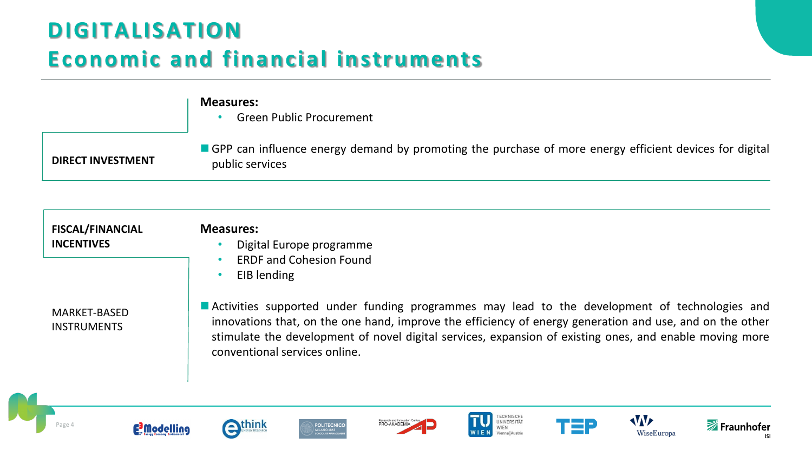## **DIGITALISATION Economic and financial instruments**

|                          | <b>Measures:</b><br><b>Green Public Procurement</b>                                                                         |
|--------------------------|-----------------------------------------------------------------------------------------------------------------------------|
| <b>DIRECT INVESTMENT</b> | ■ GPP can influence energy demand by promoting the purchase of more energy efficient devices for digital<br>public services |

| <b>FISCAL/FINANCIAL</b><br><b>INCENTIVES</b> | <b>Measures:</b><br>Digital Europe programme<br><b>ERDF and Cohesion Found</b><br>EIB lending                                                                                                                                                                                                                                                         |
|----------------------------------------------|-------------------------------------------------------------------------------------------------------------------------------------------------------------------------------------------------------------------------------------------------------------------------------------------------------------------------------------------------------|
| <b>MARKET-BASED</b><br><b>INSTRUMENTS</b>    | Activities supported under funding programmes may lead to the development of technologies and<br>innovations that, on the one hand, improve the efficiency of energy generation and use, and on the other<br>stimulate the development of novel digital services, expansion of existing ones, and enable moving more<br>conventional services online. |

![](_page_3_Picture_3.jpeg)

![](_page_3_Picture_4.jpeg)

![](_page_3_Picture_5.jpeg)

![](_page_3_Picture_6.jpeg)

![](_page_3_Picture_7.jpeg)

TECHNISCHE<br>UNIVERSITÄT

Vienna | Austria

WIEN

WIEN

W

WiseEuropa

Fraunhofer

**ISI** 

**TEP**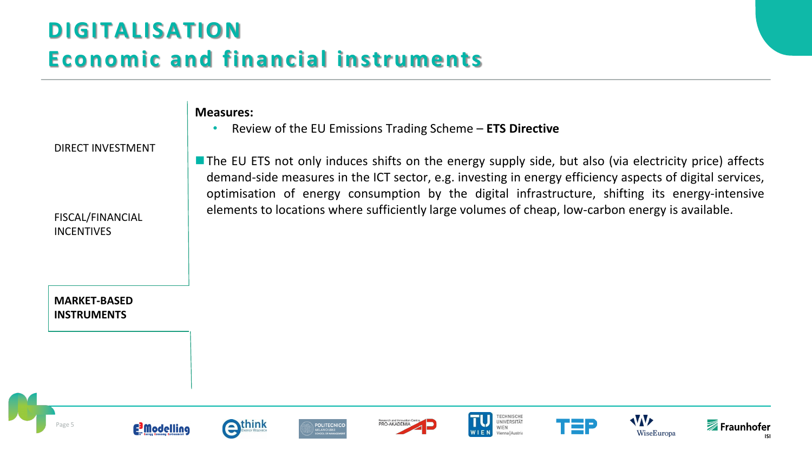## **DIGITALISATION Economic and financial instruments**

**Measures:**

DIRECT INVESTMENT

FISCAL/FINANCIAL INCENTIVES

**MARKET-BASED INSTRUMENTS**

■ The EU ETS not only induces shifts on the energy supply side, but also (via electricity price) affects demand-side measures in the ICT sector, e.g. investing in energy efficiency aspects of digital services, optimisation of energy consumption by the digital infrastructure, shifting its energy-intensive elements to locations where sufficiently large volumes of cheap, low-carbon energy is available.

Page 5

![](_page_4_Picture_6.jpeg)

![](_page_4_Picture_7.jpeg)

![](_page_4_Picture_8.jpeg)

![](_page_4_Picture_9.jpeg)

• Review of the EU Emissions Trading Scheme – **ETS Directive**

![](_page_4_Picture_10.jpeg)

![](_page_4_Picture_11.jpeg)

![](_page_4_Picture_12.jpeg)

![](_page_4_Picture_13.jpeg)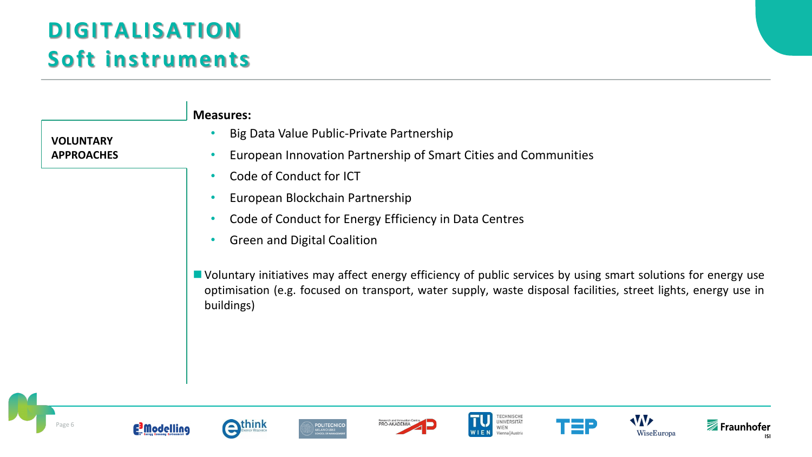## **DIGITALISATION Soft instruments**

extend think

**E** Modelling

Page 6

![](_page_5_Figure_1.jpeg)

PRO-AKADEMIA

**POLITECNICO** 

TECHNISCHE<br>UNIVERSITÄT

WIEN Vienna | Austria Fraunhofer

W

WiseEuropa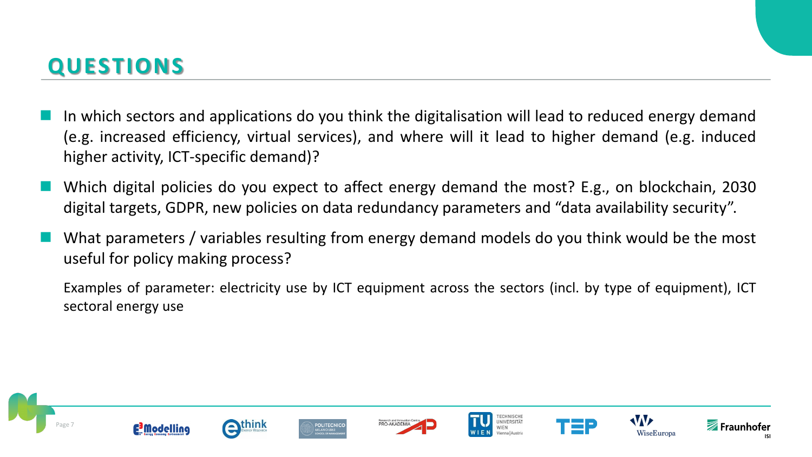#### **QUESTIONS**

- In which sectors and applications do you think the digitalisation will lead to reduced energy demand (e.g. increased efficiency, virtual services), and where will it lead to higher demand (e.g. induced higher activity, ICT-specific demand)?
- Which digital policies do you expect to affect energy demand the most? E.g., on blockchain, 2030 digital targets, GDPR, new policies on data redundancy parameters and "data availability security".
- What parameters / variables resulting from energy demand models do you think would be the most useful for policy making process?

Examples of parameter: electricity use by ICT equipment across the sectors (incl. by type of equipment), ICT sectoral energy use

![](_page_6_Picture_5.jpeg)